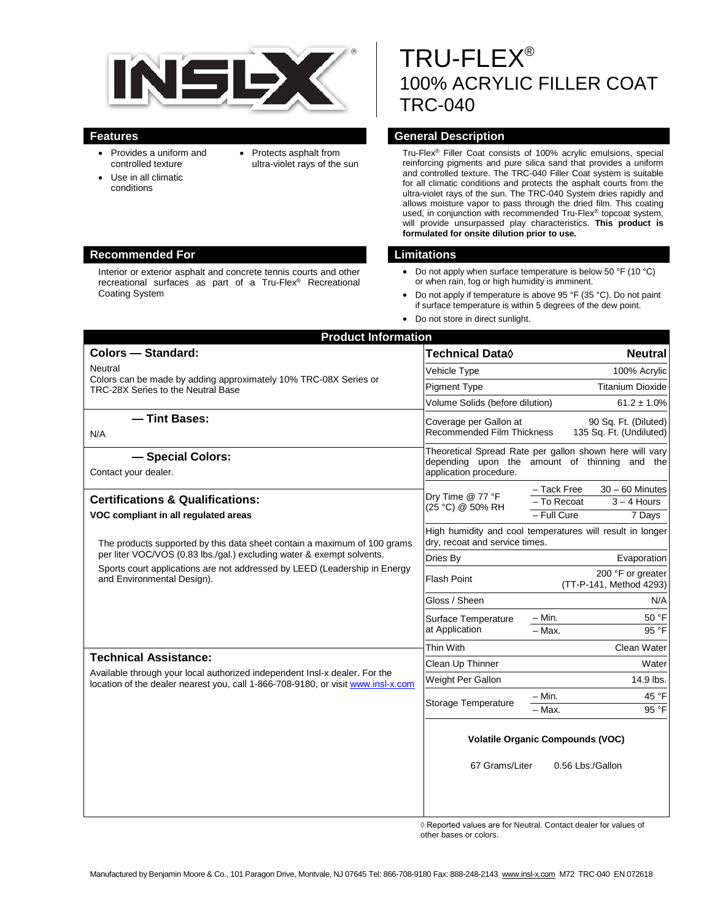

- Provides a uniform and controlled texture
- Use in all climatic conditions
- Protects asphalt from ultra-violet rays of the sun
- TRU-FLEX® 100% ACRYLIC FILLER COAT TRC-040

# **Features General Description**

Tru-Flex® Filler Coat consists of 100% acrylic emulsions, special reinforcing pigments and pure silica sand that provides a uniform and controlled texture. The TRC-040 Filler Coat system is suitable for all climatic conditions and protects the asphalt courts from the ultra-violet rays of the sun. The TRC-040 System dries rapidly and allows moisture vapor to pass through the dried film. This coating used, in conjunction with recommended Tru-Flex® topcoat system, will provide unsurpassed play characteristics. **This product is formulated for onsite dilution prior to use.**

- Do not apply when surface temperature is below 50 °F (10 °C) or when rain, fog or high humidity is imminent.
- Do not apply if temperature is above 95 °F (35 °C). Do not paint if surface temperature is within 5 degrees of the dew point.
- Do not store in direct sunlight.

| <b>Product Information</b>                                                                                                                                                                                                                                                                                                                          |                                                                                                                                    |                                                                                             |
|-----------------------------------------------------------------------------------------------------------------------------------------------------------------------------------------------------------------------------------------------------------------------------------------------------------------------------------------------------|------------------------------------------------------------------------------------------------------------------------------------|---------------------------------------------------------------------------------------------|
| <b>Colors - Standard:</b>                                                                                                                                                                                                                                                                                                                           | Technical Data $\Diamond$                                                                                                          | <b>Neutral</b>                                                                              |
| Neutral<br>Colors can be made by adding approximately 10% TRC-08X Series or<br>TRC-28X Series to the Neutral Base                                                                                                                                                                                                                                   | Vehicle Type                                                                                                                       | 100% Acrylic                                                                                |
|                                                                                                                                                                                                                                                                                                                                                     | <b>Pigment Type</b>                                                                                                                | <b>Titanium Dioxide</b>                                                                     |
|                                                                                                                                                                                                                                                                                                                                                     | Volume Solids (before dilution)                                                                                                    | $61.2 \pm 1.0\%$                                                                            |
| - Tint Bases:<br>N/A                                                                                                                                                                                                                                                                                                                                | Coverage per Gallon at<br>90 Sq. Ft. (Diluted)<br>Recommended Film Thickness<br>135 Sq. Ft. (Undiluted)                            |                                                                                             |
| - Special Colors:<br>Contact your dealer.                                                                                                                                                                                                                                                                                                           | Theoretical Spread Rate per gallon shown here will vary<br>depending upon the amount of thinning and the<br>application procedure. |                                                                                             |
| <b>Certifications &amp; Qualifications:</b><br>VOC compliant in all regulated areas<br>The products supported by this data sheet contain a maximum of 100 grams<br>per liter VOC/VOS (0.83 lbs./gal.) excluding water & exempt solvents.<br>Sports court applications are not addressed by LEED (Leadership in Energy<br>and Environmental Design). | Dry Time @ 77 °F<br>(25 °C) @ 50% RH                                                                                               | - Tack Free<br>$30 - 60$ Minutes<br>- To Recoat<br>$3 - 4$ Hours<br>$-$ Full Cure<br>7 Days |
|                                                                                                                                                                                                                                                                                                                                                     | High humidity and cool temperatures will result in longer<br>dry, recoat and service times.                                        |                                                                                             |
|                                                                                                                                                                                                                                                                                                                                                     | Dries By                                                                                                                           | Evaporation                                                                                 |
|                                                                                                                                                                                                                                                                                                                                                     | Flash Point                                                                                                                        | 200 °F or greater<br>(TT-P-141, Method 4293)                                                |
|                                                                                                                                                                                                                                                                                                                                                     | Gloss / Sheen                                                                                                                      | N/A                                                                                         |
|                                                                                                                                                                                                                                                                                                                                                     | Surface Temperature<br>at Application                                                                                              | $- Min.$<br>50 °F                                                                           |
|                                                                                                                                                                                                                                                                                                                                                     |                                                                                                                                    | 95 °F<br>$-$ Max.                                                                           |
| <b>Technical Assistance:</b><br>Available through your local authorized independent Insl-x dealer. For the<br>location of the dealer nearest you, call 1-866-708-9180, or visit www.insl-x.com                                                                                                                                                      | Thin With                                                                                                                          | Clean Water                                                                                 |
|                                                                                                                                                                                                                                                                                                                                                     | Clean Up Thinner                                                                                                                   | Water                                                                                       |
|                                                                                                                                                                                                                                                                                                                                                     | Weight Per Gallon                                                                                                                  | 14.9 lbs.                                                                                   |
|                                                                                                                                                                                                                                                                                                                                                     | <b>Storage Temperature</b>                                                                                                         | $-$ Min.<br>45 °F<br>95 °F<br>- Max.                                                        |
|                                                                                                                                                                                                                                                                                                                                                     | <b>Volatile Organic Compounds (VOC)</b>                                                                                            |                                                                                             |
|                                                                                                                                                                                                                                                                                                                                                     | 67 Grams/Liter                                                                                                                     | 0.56 Lbs./Gallon                                                                            |

◊ Reported values are for Neutral. Contact dealer for values of other bases or colors.

### **Recommended For Limitations**

Interior or exterior asphalt and concrete tennis courts and other recreational surfaces as part of a Tru-Flex® Recreational Coating System